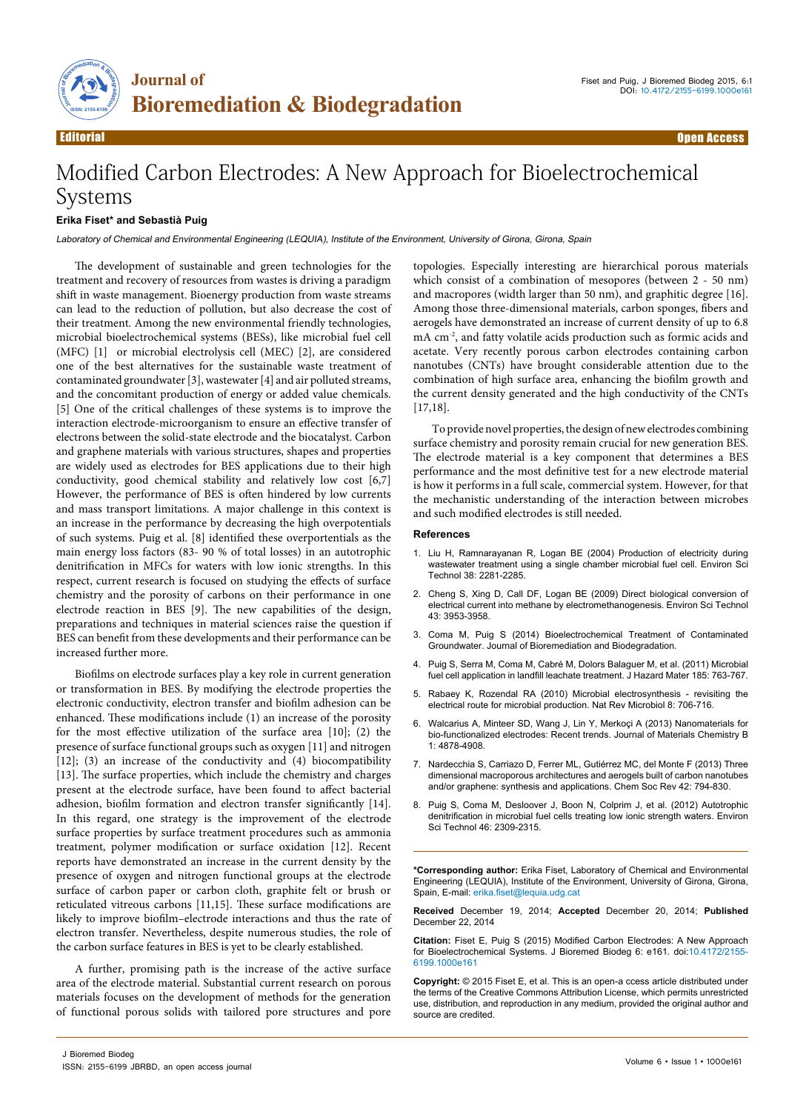

## Modified Carbon Electrodes: A New Approach for Bioelectrochemical Systems

## **Erika Fiset\* and Sebastià Puig**

Laboratory of Chemical and Environmental Engineering (LEQUIA), Institute of the Environment, University of Girona, Girona, Spain

The development of sustainable and green technologies for the treatment and recovery of resources from wastes is driving a paradigm shift in waste management. Bioenergy production from waste streams can lead to the reduction of pollution, but also decrease the cost of their treatment. Among the new environmental friendly technologies, microbial bioelectrochemical systems (BESs), like microbial fuel cell (MFC) [1] or microbial electrolysis cell (MEC) [2], are considered one of the best alternatives for the sustainable waste treatment of contaminated groundwater [3], wastewater [4] and air polluted streams, and the concomitant production of energy or added value chemicals. [5] One of the critical challenges of these systems is to improve the interaction electrode-microorganism to ensure an effective transfer of electrons between the solid-state electrode and the biocatalyst. Carbon and graphene materials with various structures, shapes and properties are widely used as electrodes for BES applications due to their high conductivity, good chemical stability and relatively low cost [6,7] However, the performance of BES is often hindered by low currents and mass transport limitations. A major challenge in this context is an increase in the performance by decreasing the high overpotentials of such systems. Puig et al. [8] identified these overportentials as the main energy loss factors (83- 90 % of total losses) in an autotrophic denitrification in MFCs for waters with low ionic strengths. In this respect, current research is focused on studying the effects of surface chemistry and the porosity of carbons on their performance in one electrode reaction in BES [9]. The new capabilities of the design, preparations and techniques in material sciences raise the question if BES can benefit from these developments and their performance can be increased further more.

Biofilms on electrode surfaces play a key role in current generation or transformation in BES. By modifying the electrode properties the electronic conductivity, electron transfer and biofilm adhesion can be enhanced. These modifications include (1) an increase of the porosity for the most effective utilization of the surface area [10]; (2) the presence of surface functional groups such as oxygen [11] and nitrogen [12]; (3) an increase of the conductivity and (4) biocompatibility [13]. The surface properties, which include the chemistry and charges present at the electrode surface, have been found to affect bacterial adhesion, biofilm formation and electron transfer significantly [14]. In this regard, one strategy is the improvement of the electrode surface properties by surface treatment procedures such as ammonia treatment, polymer modification or surface oxidation [12]. Recent reports have demonstrated an increase in the current density by the presence of oxygen and nitrogen functional groups at the electrode surface of carbon paper or carbon cloth, graphite felt or brush or reticulated vitreous carbons [11,15]. These surface modifications are likely to improve biofilm–electrode interactions and thus the rate of electron transfer. Nevertheless, despite numerous studies, the role of the carbon surface features in BES is yet to be clearly established.

A further, promising path is the increase of the active surface area of the electrode material. Substantial current research on porous materials focuses on the development of methods for the generation of functional porous solids with tailored pore structures and pore topologies. Especially interesting are hierarchical porous materials which consist of a combination of mesopores (between 2 - 50 nm) and macropores (width larger than 50 nm), and graphitic degree [16]. Among those three-dimensional materials, carbon sponges, fibers and aerogels have demonstrated an increase of current density of up to 6.8 mA cm<sup>-2</sup>, and fatty volatile acids production such as formic acids and acetate. Very recently porous carbon electrodes containing carbon nanotubes (CNTs) have brought considerable attention due to the combination of high surface area, enhancing the biofilm growth and the current density generated and the high conductivity of the CNTs [17,18].

To provide novel properties, the design of new electrodes combining surface chemistry and porosity remain crucial for new generation BES. The electrode material is a key component that determines a BES performance and the most definitive test for a new electrode material is how it performs in a full scale, commercial system. However, for that the mechanistic understanding of the interaction between microbes and such modified electrodes is still needed.

## **References**

- 1. [Liu H, Ramnarayanan R, Logan BE \(2004\) Production of electricity during](http://www.ncbi.nlm.nih.gov/pubmed/15112835) [wastewater treatment using a single chamber microbial fuel cell. Environ Sci](http://www.ncbi.nlm.nih.gov/pubmed/15112835) [Technol 38: 2281-2285.](http://www.ncbi.nlm.nih.gov/pubmed/15112835)
- 2. [Cheng S, Xing D, Call DF, Logan BE \(2009\) Direct biological conversion of](http://www.ncbi.nlm.nih.gov/pubmed/19544913) [electrical current into methane by electromethanogenesis. Environ Sci Technol](http://www.ncbi.nlm.nih.gov/pubmed/19544913)  [43: 3953-3958.](http://www.ncbi.nlm.nih.gov/pubmed/19544913)
- 3. Coma M, Puig S (2014) Bioelectrochemical Treatment of Contaminated Groundwater. Journal of Bioremediation and Biodegradation.
- 4. [Puig S, Serra M, Coma M, Cabré M, Dolors Balaguer M, et al. \(2011\) Microbial](http://www.ncbi.nlm.nih.gov/pubmed/20970254)  [fuel cell application in landfill leachate treatment. J Hazard Mater 185: 763-767.](http://www.ncbi.nlm.nih.gov/pubmed/20970254)
- 5. [Rabaey K, Rozendal RA \(2010\) Microbial electrosynthesis revisiting the](http://www.ncbi.nlm.nih.gov/pubmed/20844557)  [electrical route for microbial production. Nat Rev Microbiol 8: 706-716.](http://www.ncbi.nlm.nih.gov/pubmed/20844557)
- 6. [Walcarius A, Minteer SD, Wang J, Lin Y, Merkoçi A \(2013\) Nanomaterials for](http://pubs.rsc.org/en/content/articlelanding/2013/tb/c3tb20881h#!divAbstract)  [bio-functionalized electrodes: Recent trends. Journal of Materials Chemistry B](http://pubs.rsc.org/en/content/articlelanding/2013/tb/c3tb20881h#!divAbstract)  [1: 4878-4908.](http://pubs.rsc.org/en/content/articlelanding/2013/tb/c3tb20881h#!divAbstract)
- 7. [Nardecchia S, Carriazo D, Ferrer ML, Gutiérrez MC, del Monte F \(2013\) Three](http://www.ncbi.nlm.nih.gov/pubmed/23160635)  [dimensional macroporous architectures and aerogels built of carbon nanotubes](http://www.ncbi.nlm.nih.gov/pubmed/23160635)  [and/or graphene: synthesis and applications. Chem Soc Rev 42: 794-830.](http://www.ncbi.nlm.nih.gov/pubmed/23160635)
- 8. [Puig S, Coma M, Desloover J, Boon N, Colprim J, et al. \(2012\) Autotrophic](http://www.ncbi.nlm.nih.gov/pubmed/22257136)  [denitrification in microbial fuel cells treating low ionic strength waters. Environ](http://www.ncbi.nlm.nih.gov/pubmed/22257136)  [Sci Technol 46: 2309-2315.](http://www.ncbi.nlm.nih.gov/pubmed/22257136)

**\*Corresponding author:** Erika Fiset, Laboratory of Chemical and Environmental Engineering (LEQUIA), Institute of the Environment, University of Girona, Girona, Spain, E-mail: erika.fiset@lequia.udg.cat

**Received** December 19, 2014; **Accepted** December 20, 2014; **Published** December 22, 2014

**Citation:** Fiset E, Puig S (2015) Modified Carbon Electrodes: A New Approach for Bioelectrochemical Systems. J Bioremed Biodeg 6: e161. doi:10.4172/2155- 6199.1000e161

**Copyright:** © 2015 Fiset E, et al. This is an open-a ccess article distributed under the terms of the Creative Commons Attribution License, which permits unrestricted use, distribution, and reproduction in any medium, provided the original author and source are credited.